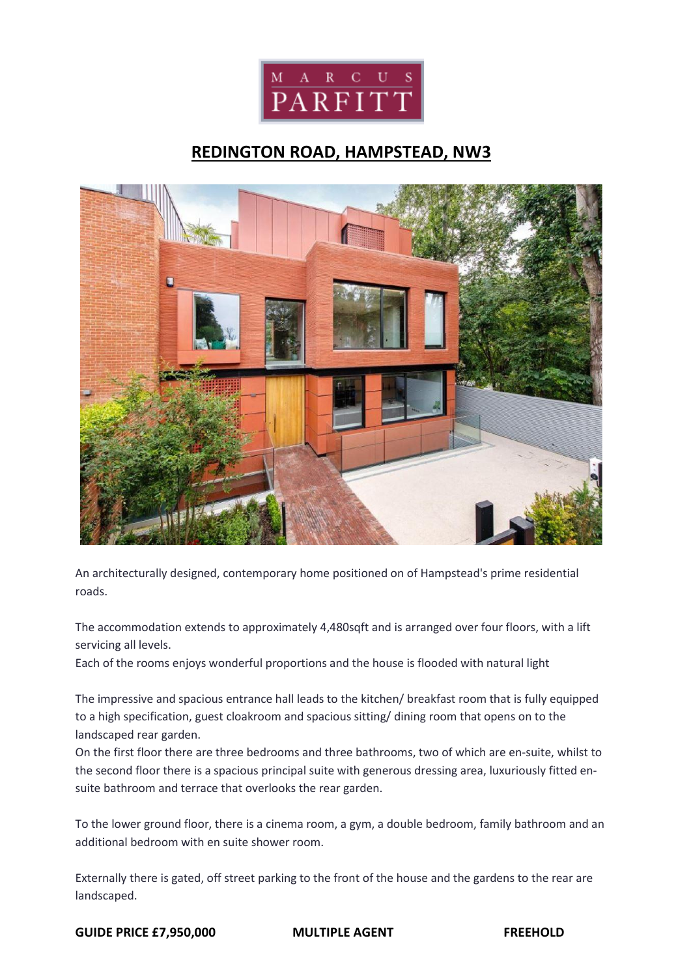

## **REDINGTON ROAD, HAMPSTEAD, NW3**



An architecturally designed, contemporary home positioned on of Hampstead's prime residential roads.

The accommodation extends to approximately 4,480sqft and is arranged over four floors, with a lift servicing all levels.

Each of the rooms enjoys wonderful proportions and the house is flooded with natural light

The impressive and spacious entrance hall leads to the kitchen/ breakfast room that is fully equipped to a high specification, guest cloakroom and spacious sitting/ dining room that opens on to the landscaped rear garden.

On the first floor there are three bedrooms and three bathrooms, two of which are en-suite, whilst to the second floor there is a spacious principal suite with generous dressing area, luxuriously fitted ensuite bathroom and terrace that overlooks the rear garden.

To the lower ground floor, there is a cinema room, a gym, a double bedroom, family bathroom and an additional bedroom with en suite shower room.

Externally there is gated, off street parking to the front of the house and the gardens to the rear are landscaped.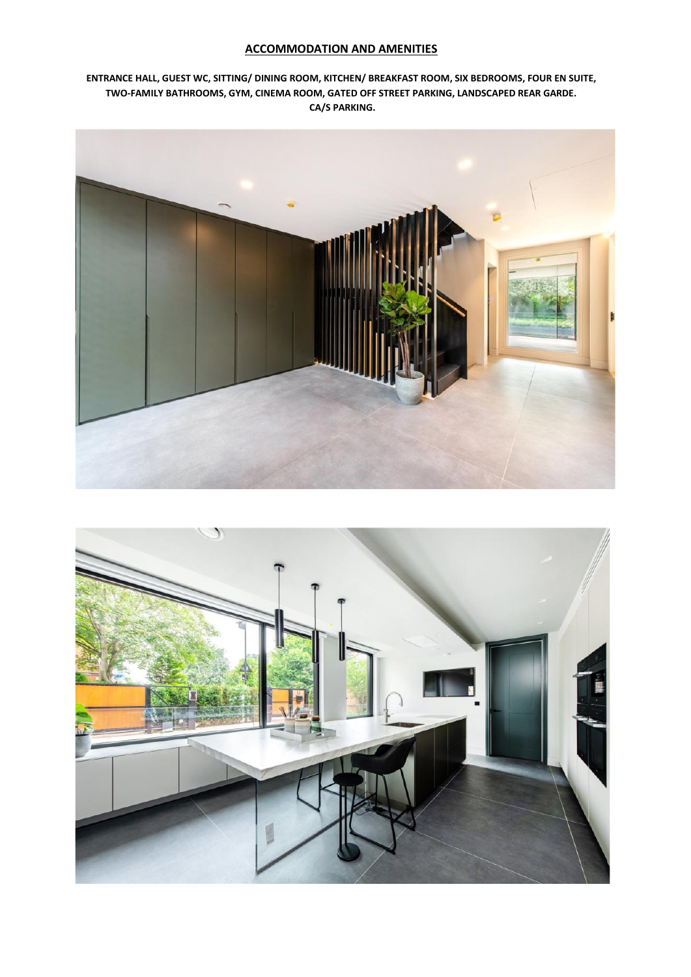## **ACCOMMODATION AND AMENITIES**

**ENTRANCE HALL, GUEST WC, SITTING/ DINING ROOM, KITCHEN/ BREAKFAST ROOM, SIX BEDROOMS, FOUR EN SUITE, TWO-FAMILY BATHROOMS, GYM, CINEMA ROOM, GATED OFF STREET PARKING, LANDSCAPED REAR GARDE. CA/S PARKING.** 



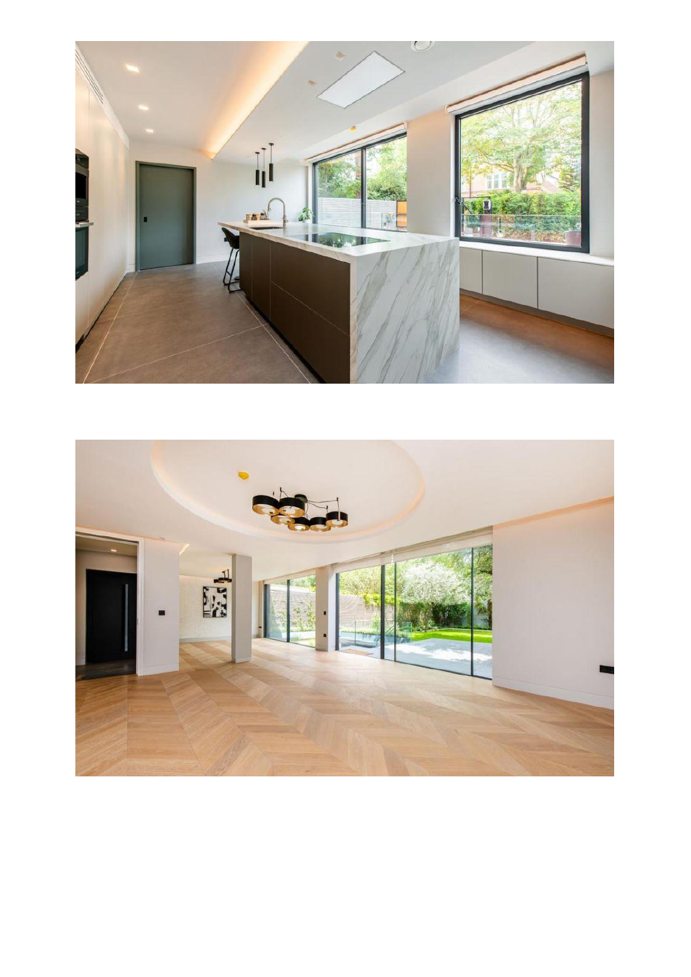

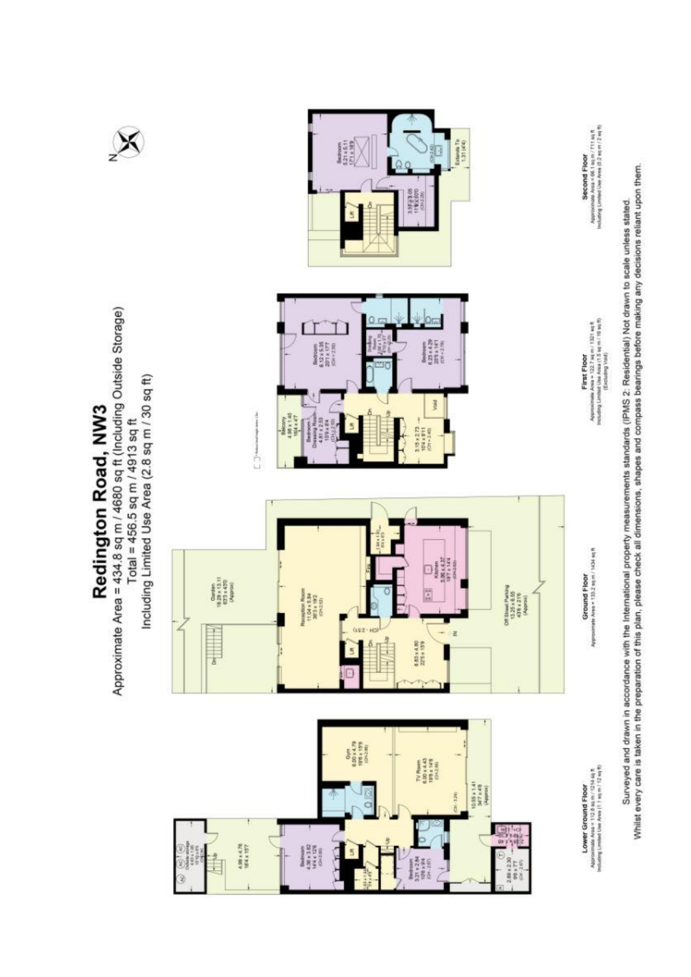